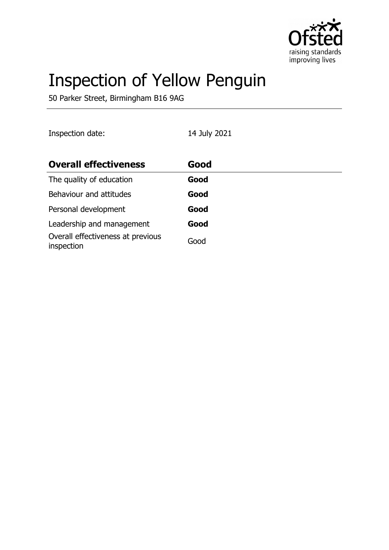

# Inspection of Yellow Penguin

50 Parker Street, Birmingham B16 9AG

| Inspection date:                                | 14 July 2021 |
|-------------------------------------------------|--------------|
| <b>Overall effectiveness</b>                    | Good         |
| The quality of education                        | Good         |
| Behaviour and attitudes                         | Good         |
| Personal development                            | Good         |
| Leadership and management                       | Good         |
| Overall effectiveness at previous<br>inspection | Good         |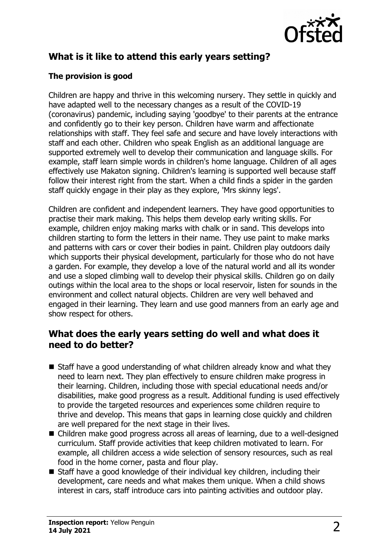

# **What is it like to attend this early years setting?**

#### **The provision is good**

Children are happy and thrive in this welcoming nursery. They settle in quickly and have adapted well to the necessary changes as a result of the COVID-19 (coronavirus) pandemic, including saying 'goodbye' to their parents at the entrance and confidently go to their key person. Children have warm and affectionate relationships with staff. They feel safe and secure and have lovely interactions with staff and each other. Children who speak English as an additional language are supported extremely well to develop their communication and language skills. For example, staff learn simple words in children's home language. Children of all ages effectively use Makaton signing. Children's learning is supported well because staff follow their interest right from the start. When a child finds a spider in the garden staff quickly engage in their play as they explore, 'Mrs skinny legs'.

Children are confident and independent learners. They have good opportunities to practise their mark making. This helps them develop early writing skills. For example, children enjoy making marks with chalk or in sand. This develops into children starting to form the letters in their name. They use paint to make marks and patterns with cars or cover their bodies in paint. Children play outdoors daily which supports their physical development, particularly for those who do not have a garden. For example, they develop a love of the natural world and all its wonder and use a sloped climbing wall to develop their physical skills. Children go on daily outings within the local area to the shops or local reservoir, listen for sounds in the environment and collect natural objects. Children are very well behaved and engaged in their learning. They learn and use good manners from an early age and show respect for others.

#### **What does the early years setting do well and what does it need to do better?**

- $\blacksquare$  Staff have a good understanding of what children already know and what they need to learn next. They plan effectively to ensure children make progress in their learning. Children, including those with special educational needs and/or disabilities, make good progress as a result. Additional funding is used effectively to provide the targeted resources and experiences some children require to thrive and develop. This means that gaps in learning close quickly and children are well prepared for the next stage in their lives.
- Children make good progress across all areas of learning, due to a well-designed curriculum. Staff provide activities that keep children motivated to learn. For example, all children access a wide selection of sensory resources, such as real food in the home corner, pasta and flour play.
- $\blacksquare$  Staff have a good knowledge of their individual key children, including their development, care needs and what makes them unique. When a child shows interest in cars, staff introduce cars into painting activities and outdoor play.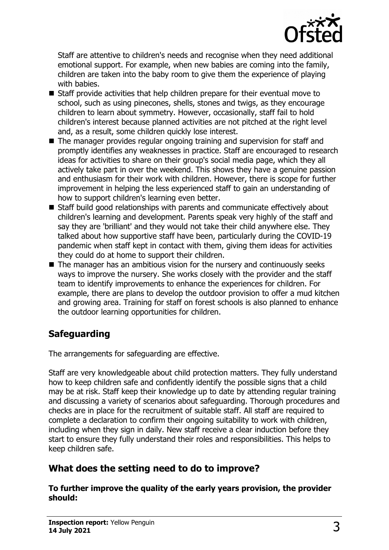

Staff are attentive to children's needs and recognise when they need additional emotional support. For example, when new babies are coming into the family, children are taken into the baby room to give them the experience of playing with babies.

- $\blacksquare$  Staff provide activities that help children prepare for their eventual move to school, such as using pinecones, shells, stones and twigs, as they encourage children to learn about symmetry. However, occasionally, staff fail to hold children's interest because planned activities are not pitched at the right level and, as a result, some children quickly lose interest.
- The manager provides regular ongoing training and supervision for staff and promptly identifies any weaknesses in practice. Staff are encouraged to research ideas for activities to share on their group's social media page, which they all actively take part in over the weekend. This shows they have a genuine passion and enthusiasm for their work with children. However, there is scope for further improvement in helping the less experienced staff to gain an understanding of how to support children's learning even better.
- $\blacksquare$  Staff build good relationships with parents and communicate effectively about children's learning and development. Parents speak very highly of the staff and say they are 'brilliant' and they would not take their child anywhere else. They talked about how supportive staff have been, particularly during the COVID-19 pandemic when staff kept in contact with them, giving them ideas for activities they could do at home to support their children.
- $\blacksquare$  The manager has an ambitious vision for the nursery and continuously seeks ways to improve the nursery. She works closely with the provider and the staff team to identify improvements to enhance the experiences for children. For example, there are plans to develop the outdoor provision to offer a mud kitchen and growing area. Training for staff on forest schools is also planned to enhance the outdoor learning opportunities for children.

# **Safeguarding**

The arrangements for safeguarding are effective.

Staff are very knowledgeable about child protection matters. They fully understand how to keep children safe and confidently identify the possible signs that a child may be at risk. Staff keep their knowledge up to date by attending regular training and discussing a variety of scenarios about safeguarding. Thorough procedures and checks are in place for the recruitment of suitable staff. All staff are required to complete a declaration to confirm their ongoing suitability to work with children, including when they sign in daily. New staff receive a clear induction before they start to ensure they fully understand their roles and responsibilities. This helps to keep children safe.

### **What does the setting need to do to improve?**

**To further improve the quality of the early years provision, the provider should:**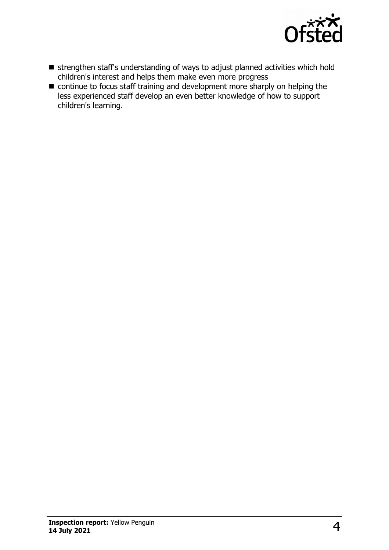

- n strengthen staff's understanding of ways to adjust planned activities which hold children's interest and helps them make even more progress
- $\blacksquare$  continue to focus staff training and development more sharply on helping the less experienced staff develop an even better knowledge of how to support children's learning.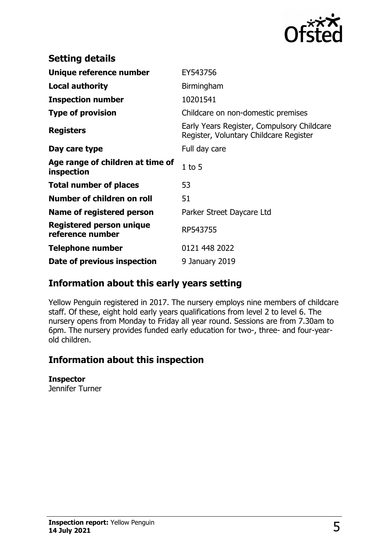

| <b>Setting details</b>                              |                                                                                      |
|-----------------------------------------------------|--------------------------------------------------------------------------------------|
| Unique reference number                             | EY543756                                                                             |
| <b>Local authority</b>                              | Birmingham                                                                           |
| <b>Inspection number</b>                            | 10201541                                                                             |
| <b>Type of provision</b>                            | Childcare on non-domestic premises                                                   |
| <b>Registers</b>                                    | Early Years Register, Compulsory Childcare<br>Register, Voluntary Childcare Register |
| Day care type                                       | Full day care                                                                        |
| Age range of children at time of<br>inspection      | $1$ to $5$                                                                           |
| <b>Total number of places</b>                       | 53                                                                                   |
| Number of children on roll                          | 51                                                                                   |
| Name of registered person                           | Parker Street Daycare Ltd                                                            |
| <b>Registered person unique</b><br>reference number | RP543755                                                                             |
| Telephone number                                    | 0121 448 2022                                                                        |
| Date of previous inspection                         | 9 January 2019                                                                       |

### **Information about this early years setting**

Yellow Penguin registered in 2017. The nursery employs nine members of childcare staff. Of these, eight hold early years qualifications from level 2 to level 6. The nursery opens from Monday to Friday all year round. Sessions are from 7.30am to 6pm. The nursery provides funded early education for two-, three- and four-yearold children.

# **Information about this inspection**

#### **Inspector**

Jennifer Turner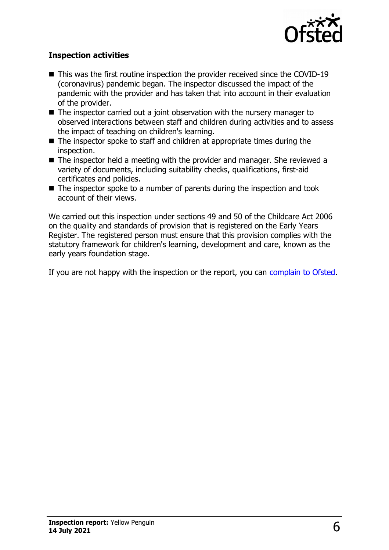

#### **Inspection activities**

- $\blacksquare$  This was the first routine inspection the provider received since the COVID-19 (coronavirus) pandemic began. The inspector discussed the impact of the pandemic with the provider and has taken that into account in their evaluation of the provider.
- $\blacksquare$  The inspector carried out a joint observation with the nursery manager to observed interactions between staff and children during activities and to assess the impact of teaching on children's learning.
- $\blacksquare$  The inspector spoke to staff and children at appropriate times during the inspection.
- $\blacksquare$  The inspector held a meeting with the provider and manager. She reviewed a variety of documents, including suitability checks, qualifications, first-aid certificates and policies.
- $\blacksquare$  The inspector spoke to a number of parents during the inspection and took account of their views.

We carried out this inspection under sections 49 and 50 of the Childcare Act 2006 on the quality and standards of provision that is registered on the Early Years Register. The registered person must ensure that this provision complies with the statutory framework for children's learning, development and care, known as the early years foundation stage.

If you are not happy with the inspection or the report, you can [complain to Ofsted.](http://www.gov.uk/complain-ofsted-report)